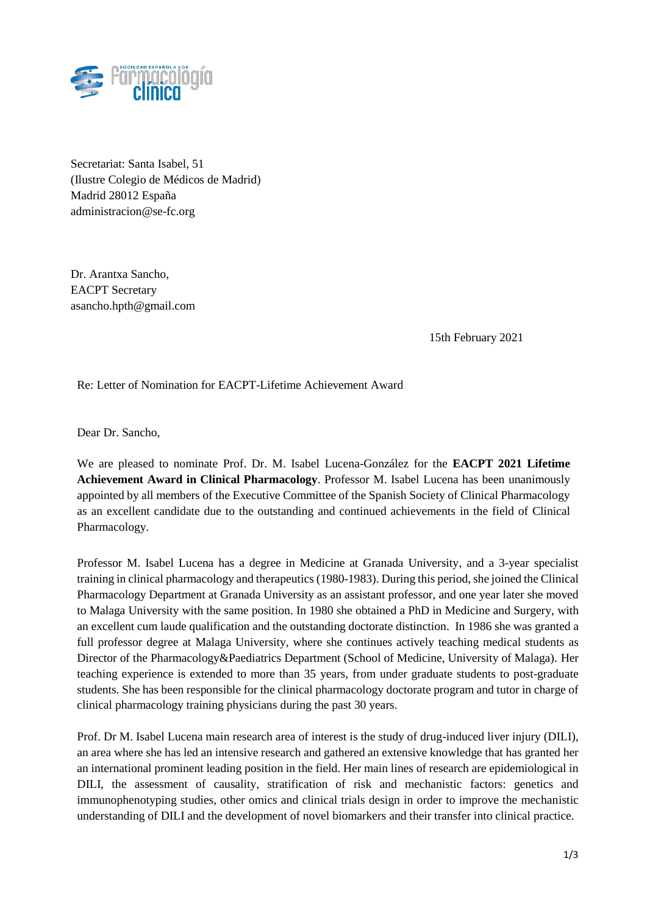

Secretariat: Santa Isabel, 51 (Ilustre Colegio de Médicos de Madrid) Madrid 28012 España administracion@se-fc.org

Dr. Arantxa Sancho, EACPT Secretary asancho.hpth@gmail.com

15th February 2021

Re: Letter of Nomination for EACPT-Lifetime Achievement Award

Dear Dr. Sancho,

We are pleased to nominate Prof. Dr. M. Isabel Lucena-González for the **EACPT 2021 Lifetime Achievement Award in Clinical Pharmacology**. Professor M. Isabel Lucena has been unanimously appointed by all members of the Executive Committee of the Spanish Society of Clinical Pharmacology as an excellent candidate due to the outstanding and continued achievements in the field of Clinical Pharmacology.

Professor M. Isabel Lucena has a degree in Medicine at Granada University, and a 3-year specialist training in clinical pharmacology and therapeutics (1980-1983). During this period, she joined the Clinical Pharmacology Department at Granada University as an assistant professor, and one year later she moved to Malaga University with the same position. In 1980 she obtained a PhD in Medicine and Surgery, with an excellent cum laude qualification and the outstanding doctorate distinction. In 1986 she was granted a full professor degree at Malaga University, where she continues actively teaching medical students as Director of the Pharmacology&Paediatrics Department (School of Medicine, University of Malaga). Her teaching experience is extended to more than 35 years, from under graduate students to post-graduate students. She has been responsible for the clinical pharmacology doctorate program and tutor in charge of clinical pharmacology training physicians during the past 30 years.

Prof. Dr M. Isabel Lucena main research area of interest is the study of drug-induced liver injury (DILI), an area where she has led an intensive research and gathered an extensive knowledge that has granted her an international prominent leading position in the field. Her main lines of research are epidemiological in DILI, the assessment of causality, stratification of risk and mechanistic factors: genetics and immunophenotyping studies, other omics and clinical trials design in order to improve the mechanistic understanding of DILI and the development of novel biomarkers and their transfer into clinical practice.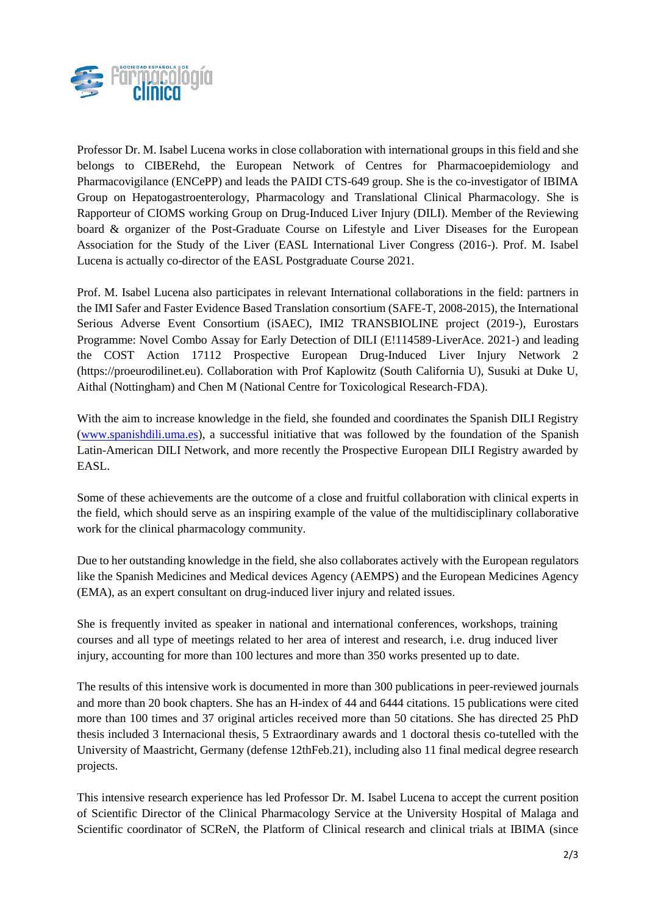

Professor Dr. M. Isabel Lucena works in close collaboration with international groups in this field and she belongs to CIBERehd, the European Network of Centres for Pharmacoepidemiology and Pharmacovigilance (ENCePP) and leads the PAIDI CTS-649 group. She is the co-investigator of IBIMA Group on Hepatogastroenterology, Pharmacology and Translational Clinical Pharmacology. She is Rapporteur of CIOMS working Group on Drug-Induced Liver Injury (DILI). Member of the Reviewing board & organizer of the Post-Graduate Course on Lifestyle and Liver Diseases for the European Association for the Study of the Liver (EASL International Liver Congress (2016-). Prof. M. Isabel Lucena is actually co-director of the EASL Postgraduate Course 2021.

Prof. M. Isabel Lucena also participates in relevant International collaborations in the field: partners in the IMI Safer and Faster Evidence Based Translation consortium (SAFE-T, 2008-2015), the International Serious Adverse Event Consortium (iSAEC), IMI2 TRANSBIOLINE project (2019-), Eurostars Programme: Novel Combo Assay for Early Detection of DILI (E!114589-LiverAce. 2021-) and leading the COST Action 17112 Prospective European Drug-Induced Liver Injury Network 2 (https://proeurodilinet.eu). Collaboration with Prof Kaplowitz (South California U), Susuki at Duke U, Aithal (Nottingham) and Chen M (National Centre for Toxicological Research-FDA).

With the aim to increase knowledge in the field, she founded and coordinates the Spanish DILI Registry [\(www.spanishdili.uma.es\)](http://www.spanishdili.uma.es/), a successful initiative that was followed by the foundation of the Spanish Latin-American DILI Network, and more recently the Prospective European DILI Registry awarded by EASL.

Some of these achievements are the outcome of a close and fruitful collaboration with clinical experts in the field, which should serve as an inspiring example of the value of the multidisciplinary collaborative work for the clinical pharmacology community.

Due to her outstanding knowledge in the field, she also collaborates actively with the European regulators like the Spanish Medicines and Medical devices Agency (AEMPS) and the European Medicines Agency (EMA), as an expert consultant on drug-induced liver injury and related issues.

She is frequently invited as speaker in national and international conferences, workshops, training courses and all type of meetings related to her area of interest and research, i.e. drug induced liver injury, accounting for more than 100 lectures and more than 350 works presented up to date.

The results of this intensive work is documented in more than 300 publications in peer-reviewed journals and more than 20 book chapters. She has an H-index of 44 and 6444 citations. 15 publications were cited more than 100 times and 37 original articles received more than 50 citations. She has directed 25 PhD thesis included 3 Internacional thesis, 5 Extraordinary awards and 1 doctoral thesis co-tutelled with the University of Maastricht, Germany (defense 12thFeb.21), including also 11 final medical degree research projects.

This intensive research experience has led Professor Dr. M. Isabel Lucena to accept the current position of Scientific Director of the Clinical Pharmacology Service at the University Hospital of Malaga and Scientific coordinator of SCReN, the Platform of Clinical research and clinical trials at IBIMA (since